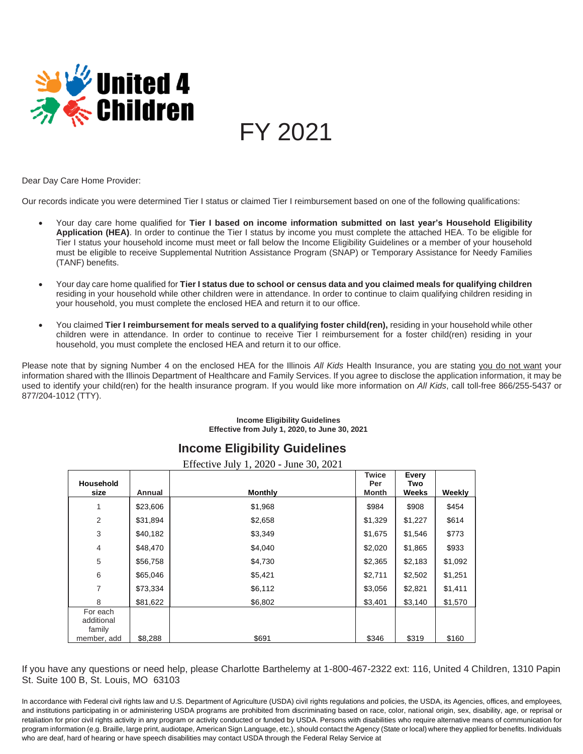

FY 2021

Dear Day Care Home Provider:

Our records indicate you were determined Tier I status or claimed Tier I reimbursement based on one of the following qualifications:

- Your day care home qualified for **Tier I based on income information submitted on last year's Household Eligibility Application (HEA)**. In order to continue the Tier I status by income you must complete the attached HEA. To be eligible for Tier I status your household income must meet or fall below the Income Eligibility Guidelines or a member of your household must be eligible to receive Supplemental Nutrition Assistance Program (SNAP) or Temporary Assistance for Needy Families (TANF) benefits.
- Your day care home qualified for **Tier I status due to school or census data and you claimed meals for qualifying children** residing in your household while other children were in attendance. In order to continue to claim qualifying children residing in your household, you must complete the enclosed HEA and return it to our office.
- You claimed **Tier I reimbursement for meals served to a qualifying foster child(ren),** residing in your household while other children were in attendance. In order to continue to receive Tier I reimbursement for a foster child(ren) residing in your household, you must complete the enclosed HEA and return it to our office.

Please note that by signing Number 4 on the enclosed HEA for the Illinois *All Kids* Health Insurance, you are stating you do not want your information shared with the Illinois Department of Healthcare and Family Services. If you agree to disclose the application information, it may be used to identify your child(ren) for the health insurance program. If you would like more information on *All Kids*, call toll-free 866/255-5437 or 877/204-1012 (TTY).

### **Income Eligibility Guidelines Effective from July 1, 2020, to June 30, 2021**

# **Income Eligibility Guidelines**

|                                                 |          | Effective July 1, 2020 - June 30, 2021 |                              |                       |         |
|-------------------------------------------------|----------|----------------------------------------|------------------------------|-----------------------|---------|
| <b>Household</b><br>size                        | Annual   | <b>Monthly</b>                         | <b>Twice</b><br>Per<br>Month | Every<br>Two<br>Weeks | Weekly  |
| 1                                               | \$23,606 | \$1,968                                | \$984                        | \$908                 | \$454   |
| 2                                               | \$31,894 | \$2,658                                | \$1,329                      | \$1,227               | \$614   |
| 3                                               | \$40,182 | \$3,349                                | \$1,675                      | \$1,546               | \$773   |
| $\overline{4}$                                  | \$48,470 | \$4,040                                | \$2,020                      | \$1,865               | \$933   |
| 5                                               | \$56,758 | \$4,730                                | \$2,365                      | \$2,183               | \$1,092 |
| 6                                               | \$65,046 | \$5,421                                | \$2,711                      | \$2,502               | \$1,251 |
| 7                                               | \$73,334 | \$6,112                                | \$3,056                      | \$2,821               | \$1,411 |
| 8                                               | \$81,622 | \$6,802                                | \$3,401                      | \$3,140               | \$1,570 |
| For each<br>additional<br>family<br>member, add | \$8,288  | \$691                                  | \$346                        | \$319                 | \$160   |

If you have any questions or need help, please Charlotte Barthelemy at 1-800-467-2322 ext: 116, United 4 Children, 1310 Papin St. Suite 100 B, St. Louis, MO 63103

In accordance with Federal civil rights law and U.S. Department of Agriculture (USDA) civil rights regulations and policies, the USDA, its Agencies, offices, and employees, and institutions participating in or administering USDA programs are prohibited from discriminating based on race, color, national origin, sex, disability, age, or reprisal or retaliation for prior civil rights activity in any program or activity conducted or funded by USDA. Persons with disabilities who require alternative means of communication for program information (e.g. Braille, large print, audiotape, American Sign Language, etc.), should contact the Agency (State or local) where they applied for benefits. Individuals who are deaf, hard of hearing or have speech disabilities may contact USDA through the Federal Relay Service at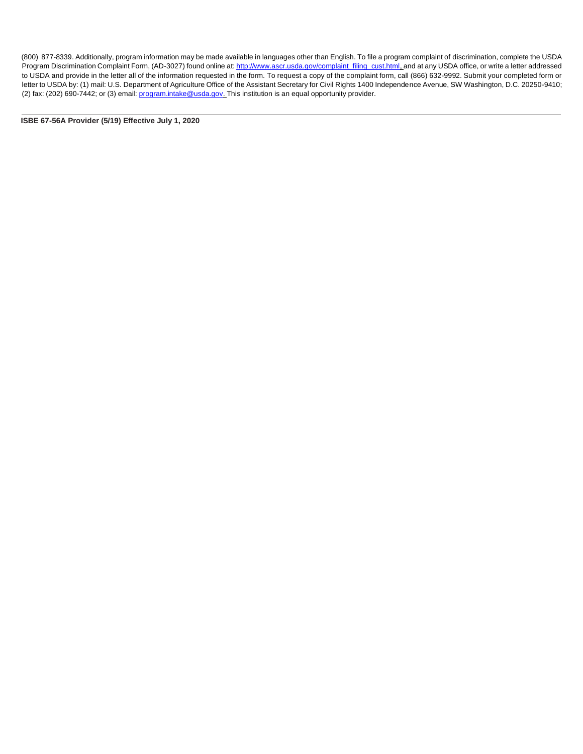(800) 877-8339. Additionally, program information may be made available in languages other than English. To file a program complaint of discrimination, complete the USDA Program Discrimination Complaint Form, (AD-3027) found online at[: http://www.ascr.usda.gov/complaint\\_filing\\_cust.html, a](http://www.ascr.usda.gov/complaint_filing_cust.html)nd at any USDA office, or write a letter addressed to USDA and provide in the letter all of the information requested in the form. To request a copy of the complaint form, call (866) 632-9992. Submit your completed form or letter to USDA by: (1) mail: U.S. Department of Agriculture Office of the Assistant Secretary for Civil Rights 1400 Independence Avenue, SW Washington, D.C. 20250-9410; (2) fax: (202) 690-7442; or (3) email[: program.intake@usda.gov. T](mailto:program.intake@usda.gov)his institution is an equal opportunity provider.

**ISBE 67-56A Provider (5/19) Effective July 1, 2020**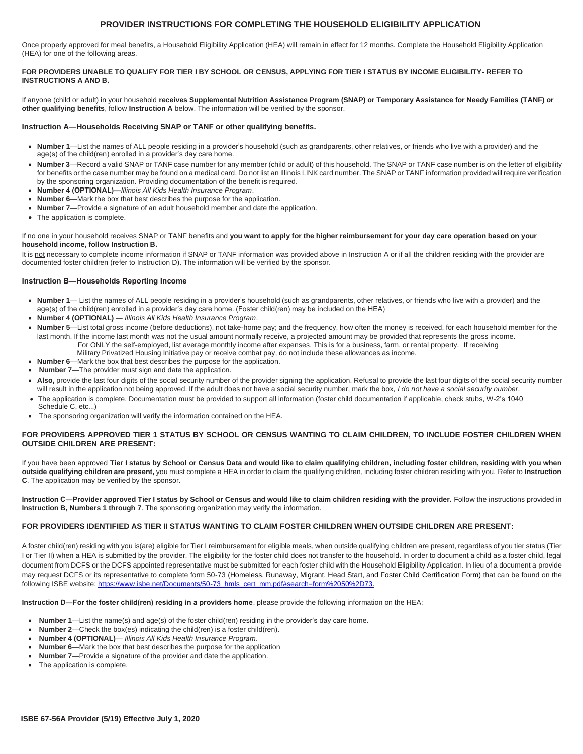# **PROVIDER INSTRUCTIONS FOR COMPLETING THE HOUSEHOLD ELIGIBILITY APPLICATION**

Once properly approved for meal benefits, a Household Eligibility Application (HEA) will remain in effect for 12 months. Complete the Household Eligibility Application (HEA) for one of the following areas.

#### **FOR PROVIDERS UNABLE TO QUALIFY FOR TIER I BY SCHOOL OR CENSUS, APPLYING FOR TIER I STATUS BY INCOME ELIGIBILITY- REFER TO INSTRUCTIONS A AND B.**

If anyone (child or adult) in your household **receives Supplemental Nutrition Assistance Program (SNAP) or Temporary Assistance for Needy Families (TANF) or other qualifying benefits**, follow **Instruction A** below. The information will be verified by the sponsor.

#### **Instruction A**―**Households Receiving SNAP or TANF or other qualifying benefits.**

- **Number 1**—List the names of ALL people residing in a provider's household (such as grandparents, other relatives, or friends who live with a provider) and the age(s) of the child(ren) enrolled in a provider's day care home.
- **Number 3**—Record a valid SNAP or TANF case number for any member (child or adult) of this household. The SNAP or TANF case number is on the letter of eligibility for benefits or the case number may be found on a medical card. Do not list an Illinois LINK card number. The SNAP or TANF information provided will require verification by the sponsoring organization. Providing documentation of the benefit is required.
- **Number 4 (OPTIONAL)―***Illinois All Kids Health Insurance Program*.
- **Number 6**—Mark the box that best describes the purpose for the application.
- **Number 7**—Provide a signature of an adult household member and date the application.
- The application is complete.

If no one in your household receives SNAP or TANF benefits and **you want to apply for the higher reimbursement for your day care operation based on your household income, follow Instruction B.**

It is not necessary to complete income information if SNAP or TANF information was provided above in Instruction A or if all the children residing with the provider are documented foster children (refer to Instruction D). The information will be verified by the sponsor.

#### **Instruction B―Households Reporting Income**

- **Number 1** List the names of ALL people residing in a provider's household (such as grandparents, other relatives, or friends who live with a provider) and the age(s) of the child(ren) enrolled in a provider's day care home. (Foster child(ren) may be included on the HEA)
- **Number 4 (OPTIONAL)** ― *Illinois All Kids Health Insurance Program*.
- **Number 5**—List total gross income (before deductions), not take-home pay; and the frequency, how often the money is received, for each household member for the last month. If the income last month was not the usual amount normally receive, a projected amount may be provided that represents the gross income. For ONLY the self-employed, list average monthly income after expenses. This is for a business, farm, or rental property. If receiving
	- Military Privatized Housing Initiative pay or receive combat pay, do not include these allowances as income.
- **Number 6**—Mark the box that best describes the purpose for the application.
- **Number 7**—The provider must sign and date the application.
- Also, provide the last four digits of the social security number of the provider signing the application. Refusal to provide the last four digits of the social security number will result in the application not being approved. If the adult does not have a social security number, mark the box, *I do not have a social security number*.
- The application is complete. Documentation must be provided to support all information (foster child documentation if applicable, check stubs, W-2's 1040
- Schedule C, etc...) • The sponsoring organization will verify the information contained on the HEA.

#### **FOR PROVIDERS APPROVED TIER 1 STATUS BY SCHOOL OR CENSUS WANTING TO CLAIM CHILDREN, TO INCLUDE FOSTER CHILDREN WHEN OUTSIDE CHILDREN ARE PRESENT:**

If you have been approved **Tier I status by School or Census Data and would like to claim qualifying children, including foster children, residing with you when outside qualifying children are present,** you must complete a HEA in order to claim the qualifying children, including foster children residing with you. Refer to **Instruction C**. The application may be verified by the sponsor.

**Instruction C―Provider approved Tier I status by School or Census and would like to claim children residing with the provider.** Follow the instructions provided in **Instruction B, Numbers 1 through 7**. The sponsoring organization may verify the information.

#### **FOR PROVIDERS IDENTIFIED AS TIER II STATUS WANTING TO CLAIM FOSTER CHILDREN WHEN OUTSIDE CHILDREN ARE PRESENT:**

A foster child(ren) residing with you is(are) eligible for Tier I reimbursement for eligible meals, when outside qualifying children are present, regardless of you tier status (Tier I or Tier II) when a HEA is submitted by the provider. The eligibility for the foster child does not transfer to the household. In order to document a child as a foster child, legal document from DCFS or the DCFS appointed representative must be submitted for each foster child with the Household Eligibility Application. In lieu of a document a provide may request DCFS or its representative to complete form 50-73 (Homeless, Runaway, Migrant, Head Start, and Foster Child Certification Form) that can be found on the following ISBE website: [https://www.isbe.net/Documents/50-73\\_hmls\\_cert\\_mm.pdf#search=form%2050%2D73.](http://www.isbe.net/Documents/50-73_hmls_cert_mm.pdf#search%3Dform%2050%2D73)

**Instruction D―For the foster child(ren) residing in a providers home**, please provide the following information on the HEA:

- **Number 1**—List the name(s) and age(s) of the foster child(ren) residing in the provider's day care home.
- **Number 2**—Check the box(es) indicating the child(ren) is a foster child(ren).
- **Number 4 (OPTIONAL)**― *Illinois All Kids Health Insurance Program*.
- **Number 6**—Mark the box that best describes the purpose for the application
- **Number 7**—Provide a signature of the provider and date the application.
- The application is complete.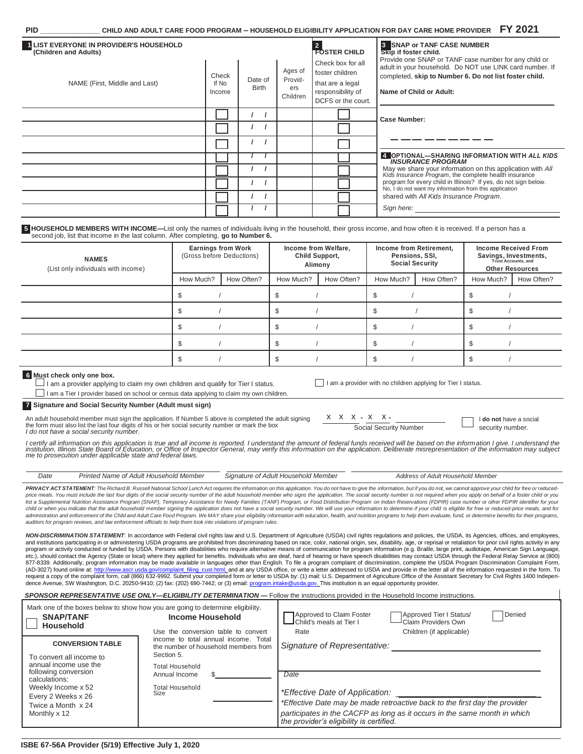| CHILD AND ADULT CARE FOOD PROGRAM - HOUSEHOLD ELIGIBILITY APPLICATION FOR DAY CARE HOME PROVIDER $FY$ 2021<br>PID |  |
|-------------------------------------------------------------------------------------------------------------------|--|
|-------------------------------------------------------------------------------------------------------------------|--|

| LIST EVERYONE IN PROVIDER'S HOUSEHOLD<br>(Children and Adults)                                                                                                                                                                                        |                           |                         |                                       | <b>FOSTER CHILD</b>                                                                                 | <b>8 SNAP or TANF CASE NUMBER</b><br>Skip if foster child.<br>Provide one SNAP or TANF case number for any child or                           |                                                                 |  |
|-------------------------------------------------------------------------------------------------------------------------------------------------------------------------------------------------------------------------------------------------------|---------------------------|-------------------------|---------------------------------------|-----------------------------------------------------------------------------------------------------|-----------------------------------------------------------------------------------------------------------------------------------------------|-----------------------------------------------------------------|--|
| NAME (First, Middle and Last)                                                                                                                                                                                                                         |                           | Date of<br><b>Birth</b> | Ages of<br>Provid-<br>ers<br>Children | Check box for all<br>foster children<br>that are a legal<br>responsibility of<br>DCFS or the court. | adult in your household. Do NOT use LINK card number. If<br>completed, skip to Number 6. Do not list foster child.<br>Name of Child or Adult: |                                                                 |  |
|                                                                                                                                                                                                                                                       |                           |                         |                                       |                                                                                                     | <b>Case Number:</b>                                                                                                                           |                                                                 |  |
|                                                                                                                                                                                                                                                       |                           |                         |                                       |                                                                                                     |                                                                                                                                               |                                                                 |  |
|                                                                                                                                                                                                                                                       |                           |                         |                                       |                                                                                                     |                                                                                                                                               |                                                                 |  |
|                                                                                                                                                                                                                                                       |                           |                         |                                       |                                                                                                     | <b>INSURANCE PROGRAM</b>                                                                                                                      | 4 OPTIONAL-SHARING INFORMATION WITH ALL KIDS                    |  |
|                                                                                                                                                                                                                                                       |                           |                         |                                       |                                                                                                     | Kids Insurance Program, the complete health insurance                                                                                         | May we share your information on this application with All      |  |
|                                                                                                                                                                                                                                                       |                           |                         |                                       |                                                                                                     | No, I do not want my information from this application                                                                                        | program for every child in Illinois? If yes, do not sign below. |  |
|                                                                                                                                                                                                                                                       |                           |                         |                                       |                                                                                                     | shared with All Kids Insurance Program.                                                                                                       |                                                                 |  |
|                                                                                                                                                                                                                                                       |                           |                         |                                       |                                                                                                     | Sign here:                                                                                                                                    |                                                                 |  |
| 5 HOUSEHOLD MEMBERS WITH INCOME-List only the names of individuals living in the household, their gross income, and how often it is received. If a person has a<br>second job, list that income in the last column. After completing, go to Number 6. |                           |                         |                                       |                                                                                                     |                                                                                                                                               |                                                                 |  |
|                                                                                                                                                                                                                                                       | <b>Earnings from Work</b> |                         |                                       | Income from Welfare.                                                                                | Income from Retirement.                                                                                                                       | <b>Income Received From</b>                                     |  |

| <b>NAMES</b><br>(List only individuals with income) | <b>Earnings from Work</b><br>(Gross before Deductions) |            | Income from Welfare,<br>Child Support,<br>Alimony |            | Income from Retirement,<br>Pensions, SSI,<br><b>Social Security</b> |            | <b>Income Received From</b><br>Savings, Investments,<br>Trust Accounts, and<br><b>Other Resources</b> |            |
|-----------------------------------------------------|--------------------------------------------------------|------------|---------------------------------------------------|------------|---------------------------------------------------------------------|------------|-------------------------------------------------------------------------------------------------------|------------|
|                                                     | How Much?                                              | How Often? | How Much?                                         | How Often? | How Much?                                                           | How Often? | How Much?                                                                                             | How Often? |
|                                                     |                                                        |            |                                                   |            |                                                                     |            |                                                                                                       |            |
|                                                     |                                                        |            |                                                   |            |                                                                     |            |                                                                                                       |            |
|                                                     |                                                        |            |                                                   |            |                                                                     |            |                                                                                                       |            |
|                                                     |                                                        |            |                                                   |            |                                                                     |            |                                                                                                       |            |
|                                                     |                                                        |            |                                                   |            |                                                                     |            |                                                                                                       |            |

## **6 Must check only one box.**

 $\perp$  I am a provider applying to claim my own children and qualify for Tier I status.

I am a Tier I provider based on school or census data applying to claim my own children.

**7 Signature and Social Security Number (Adult must sign)**

An adult household member must sign the application. If Number 5 above is completed the adult signing the form must also list the last four digits of his or her social security number or mark the box *I do not have a social security number*.

I am a provider with no children applying for Tier I status.

 $X \times X - X - X - X -$ Social Security Number

I **do not** have a social security number.

l certify all information on this application is true and all income is reported. I understand the amount of federal funds received will be based on the information I give. I understand the<br>institution, Illinois State Boar

| Date                                                                                                                                                                                                                           | Printed Name of Adult Household Member | Signature of Adult Household Member | Address of Adult Household Member |  |  |  |
|--------------------------------------------------------------------------------------------------------------------------------------------------------------------------------------------------------------------------------|----------------------------------------|-------------------------------------|-----------------------------------|--|--|--|
| PRIVACY ACT STATEMENT: The Richard B. Russell National School Lunch Act requires the information on this application. You do not have to give the information, but if you do not, we cannot approve your child for free or red |                                        |                                     |                                   |  |  |  |
| price meals. You must include the last four digits of the social security number of the adult household member who signs the application. The social security number is not required when you apply on behalf of a foster chil |                                        |                                     |                                   |  |  |  |
| list a Sunnlemental Nutrition Assistance Program (SNAP). Temporany Assistance for Needy Families (TANF) Program, or Food Distribution Program, on Indian Resenvations (FDPIR) case number or other FDPIR identifier for your   |                                        |                                     |                                   |  |  |  |

s (TANF) Program, or Food Distribution Program on Indian Reservations (F. child or when you indicate that the adult household member signing the application does not have a social security number. We will use your information to determine if your child is eligible for free or reduced-price meals administration and enforcement of the Child and Adult Care Food Program. We MAY share your eligibility information with education, health, and nutrition programs to help them evaluate, fund, or determine benefits for their *auditors for program reviews, and law enforcement officials to help them look into violations of program rules.*

*NON-DISCRIMINATION STATEMENT:* In accordance with Federal civil rights law and U.S. Department of Agriculture (USDA) civil rights regulations and policies, the USDA, its Agencies, offices, and employees, and institutions participating in or administering USDA programs are prohibited from discriminating based on race, color, national origin, sex, disability, age, or reprisal or retaliation for prior civil rights activity in program or activity conducted or funded by USDA. Persons with disabilities who require alternative means of communication for program information (e.g. Braille, large print, audiotape, American Sign Language,<br>etc.), should (AD-3027) found online at: <u>http://www.ascr.usda.gov/complaint\_filing\_cust.html, a</u>nd at any USDA office, or write a letter addressed to USDA and provide in the letter all of the information requested in the form. To<br>reque dence Avenue, SW Washington, D.C. 20250-9410; (2) fax: (202) 690-7442; or (3) email[: program.intake@usda.gov. T](mailto:program.intake@usda.gov)his institution is an equal opportunity provider.

| SPONSOR REPRESENTATIVE USE ONLY—ELIGIBILITY DETERMINATION—Follow the instructions provided in the Household Income instructions.                                             |                                                                                                                                            |                                                                                                                                                                                                                                                            |  |  |  |  |  |
|------------------------------------------------------------------------------------------------------------------------------------------------------------------------------|--------------------------------------------------------------------------------------------------------------------------------------------|------------------------------------------------------------------------------------------------------------------------------------------------------------------------------------------------------------------------------------------------------------|--|--|--|--|--|
| <b>SNAP/TANF</b><br>Household                                                                                                                                                | Mark one of the boxes below to show how you are going to determine eligibility.<br>Income Household<br>Use the conversion table to convert | Approved to Claim Foster<br>Approved Tier I Status/<br>Denied<br>Child's meals at Tier I<br>Claim Providers Own<br>Children (if applicable)<br>Rate                                                                                                        |  |  |  |  |  |
| <b>CONVERSION TABLE</b>                                                                                                                                                      | income to total annual income. Total<br>the number of household members from<br>Section 5.                                                 | Signature of Representative:                                                                                                                                                                                                                               |  |  |  |  |  |
| To convert all income to<br>annual income use the<br>following conversion<br>calculations:<br>Weekly Income x 52<br>Every 2 Weeks x 26<br>Twice a Month x 24<br>Monthly x 12 | <b>Total Household</b><br>Annual Income<br><b>Total Household</b><br>Size                                                                  | Date<br>*Effective Date of Application: ___________<br>*Effective Date may be made retroactive back to the first day the provider<br>participates in the CACFP as long as it occurs in the same month in which<br>the provider's eligibility is certified. |  |  |  |  |  |